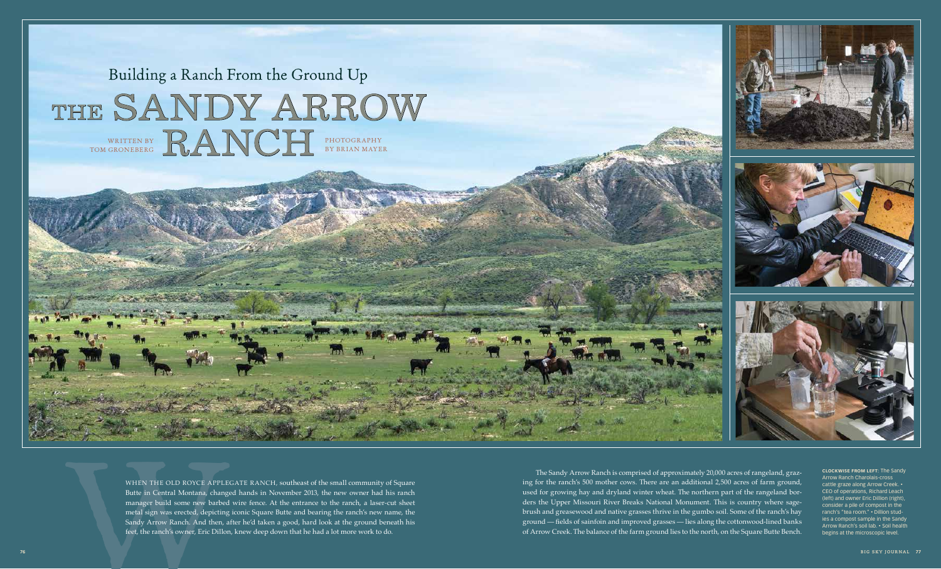WHEN THE OLD ROYCE APPLEGATE RANCH, southeast of the small community of Square Butte in Central Montana, changed hands in November 2013, the new owner had his ranch manager build some new barbed wire fence. At the entrance to the ranch, a laser-cut sheet metal sign was erected, depicting iconic Square Butte and bearing the ranch's new name, the Sandy Arrow Ranch. And then, after he'd taken a good, hard look at the ground beneath his feet, the ranch's owner, Eric Dillon, knew deep down that he had a lot more work to do.

WHEN THE OLD ROYCE APPLEGATE RANCH, southeast of the small community of Square<br>
2013, the new over that his ranch and the control of the ranch of the ranch of the control of the ranch of the parameter and the control of th The Sandy Arrow Ranch is comprised of approximately 20,000 acres of rangeland, grazing for the ranch's 500 mother cows. There are an additional 2,500 acres of farm ground, used for growing hay and dryland winter wheat. The northern part of the rangeland borders the Upper Missouri River Breaks National Monument. This is country where sagebrush and greasewood and native grasses thrive in the gumbo soil. Some of the ranch's hay ground — fields of sainfoin and improved grasses — lies along the cottonwood-lined banks of Arrow Creek. The balance of the farm ground lies to the north, on the Square Butte Bench.



**Clockwise from left:** The Sandy Arrow Ranch Charolais-cross cattle graze along Arrow Creek. • CEO of operations, Richard Leach (t) and owner Eric Dillion (right) sider a pile of compost in the ranch's "tea room." • Dillion studies a compost sample in the Sandy Arrow Ranch's soil lab. • Soil health begins at the microscopic level.

## Building a Ranch From the Ground Up THE SANDY ARROW RANCH PHOTOGRAPHY by Brian Mayer written by Tom groneberg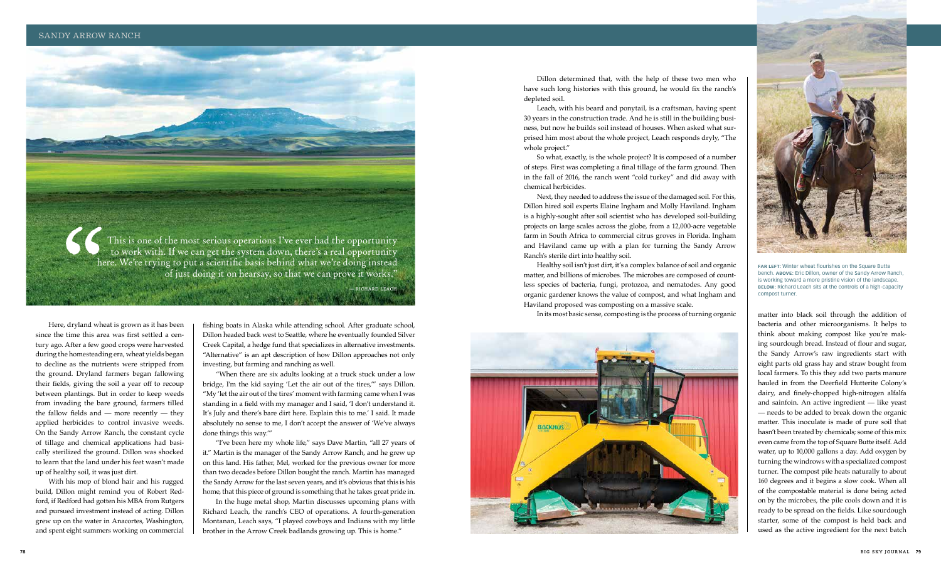fishing boats in Alaska while attending school. After graduate school, Dillon headed back west to Seattle, where he eventually founded Silver Creek Capital, a hedge fund that specializes in alternative investments. "Alternative" is an apt description of how Dillon approaches not only investing, but farming and ranching as well.

"When there are six adults looking at a truck stuck under a low bridge, I'm the kid saying 'Let the air out of the tires,'" says Dillon. "My 'let the air out of the tires' moment with farming came when I was standing in a field with my manager and I said, 'I don't understand it. It's July and there's bare dirt here. Explain this to me.' I said. It made absolutely no sense to me, I don't accept the answer of 'We've always done things this way.'"

"I've been here my whole life," says Dave Martin, "all 27 years of it." Martin is the manager of the Sandy Arrow Ranch, and he grew up on this land. His father, Mel, worked for the previous owner for more than two decades before Dillon bought the ranch. Martin has managed the Sandy Arrow for the last seven years, and it's obvious that this is his home, that this piece of ground is something that he takes great pride in.

In the huge metal shop, Martin discusses upcoming plans with Richard Leach, the ranch's CEO of operations. A fourth-generation Montanan, Leach says, "I played cowboys and Indians with my little brother in the Arrow Creek badlands growing up. This is home."

 Dillon determined that, with the help of these two men who have such long histories with this ground, he would fix the ranch's depleted soil.

 Leach, with his beard and ponytail, is a craftsman, having spent 30 years in the construction trade. And he is still in the building business, but now he builds soil instead of houses. When asked what surprised him most about the whole project, Leach responds dryly, "The whole project."

So what, exactly, is the whole project? It is composed of a number of steps. First was completing a final tillage of the farm ground. Then in the fall of 2016, the ranch went "cold turkey" and did away with chemical herbicides.



**FAR LEFT:** Winter wheat flourishes on the Square Butte bench. **Above:** Eric Dillon, owner of the Sandy Arrow Ranch, is working toward a more pristine vision of the landscape. **BELOW:** Richard Leach sits at the controls of a high-capacity compost turner.

 Next, they needed to address the issue of the damaged soil. For this, Dillon hired soil experts Elaine Ingham and Molly Haviland. Ingham is a highly-sought after soil scientist who has developed soil-building projects on large scales across the globe, from a 12,000-acre vegetable farm in South Africa to commercial citrus groves in Florida. Ingham and Haviland came up with a plan for turning the Sandy Arrow Ranch's sterile dirt into healthy soil.

 Healthy soil isn't just dirt, it's a complex balance of soil and organic matter, and billions of microbes. The microbes are composed of countless species of bacteria, fungi, protozoa, and nematodes. Any good organic gardener knows the value of compost, and what Ingham and Haviland proposed was composting on a massive scale. In its most basic sense, composting is the process of turning organic



SS ( This is one of the most serious operations I've ever had the opportunity to work with. If we can get the system down, there's a real opportunity here. We're trying to put a scientific basis behind what we're doing instead of just doing it on hearsay, so that we can prove it works." **— Richard Leach**

matter into black soil through the addition of bacteria and other microorganisms. It helps to think about making compost like you're making sourdough bread. Instead of flour and sugar, the Sandy Arrow's raw ingredients start with eight parts old grass hay and straw bought from local farmers. To this they add two parts manure hauled in from the Deerfield Hutterite Colony's dairy, and finely-chopped high-nitrogen alfalfa and sainfoin. An active ingredient — like yeast — needs to be added to break down the organic matter. This inoculate is made of pure soil that hasn't been treated by chemicals; some of this mix even came from the top of Square Butte itself. Add water, up to 10,000 gallons a day. Add oxygen by turning the windrows with a specialized compost turner. The compost pile heats naturally to about 160 degrees and it begins a slow cook. When all of the compostable material is done being acted on by the microbes, the pile cools down and it is ready to be spread on the fields. Like sourdough starter, some of the compost is held back and used as the active ingredient for the next batch

 Here, dryland wheat is grown as it has been since the time this area was first settled a century ago. After a few good crops were harvested during the homesteading era, wheat yields began to decline as the nutrients were stripped from the ground. Dryland farmers began fallowing their fields, giving the soil a year off to recoup between plantings. But in order to keep weeds from invading the bare ground, farmers tilled the fallow fields and — more recently — they applied herbicides to control invasive weeds. On the Sandy Arrow Ranch, the constant cycle of tillage and chemical applications had basically sterilized the ground. Dillon was shocked to learn that the land under his feet wasn't made up of healthy soil, it was just dirt.

With his mop of blond hair and his rugged build, Dillon might remind you of Robert Redford, if Redford had gotten his MBA from Rutgers and pursued investment instead of acting. Dillon grew up on the water in Anacortes, Washington, and spent eight summers working on commercial